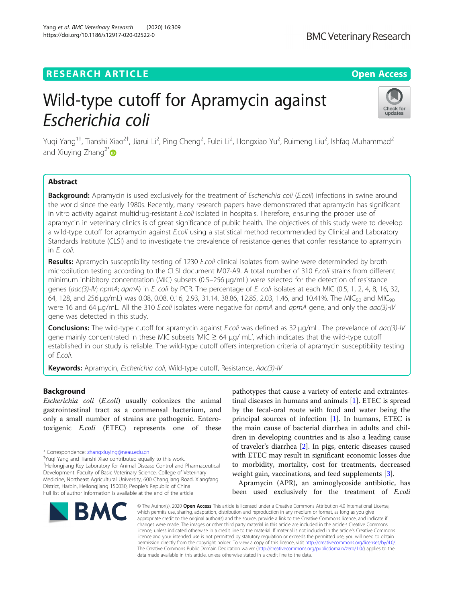# **RESEARCH ARTICLE Example 2014 12:30 The Open Access**

# Wild-type cutoff for Apramycin against Escherichia coli

Yuqi Yang<sup>1†</sup>, Tianshi Xiao<sup>2†</sup>, Jiarui Li<sup>2</sup>, Ping Cheng<sup>2</sup>, Fulei Li<sup>2</sup>, Hongxiao Yu<sup>2</sup>, Ruimeng Liu<sup>2</sup>, Ishfaq Muhammad<sup>2</sup> and Xiuying Zhang<sup>2\*</sup>

# Abstract

Background: Apramycin is used exclusively for the treatment of Escherichia coli (E.coli) infections in swine around the world since the early 1980s. Recently, many research papers have demonstrated that apramycin has significant in vitro activity against multidrug-resistant E.coli isolated in hospitals. Therefore, ensuring the proper use of apramycin in veterinary clinics is of great significance of public health. The objectives of this study were to develop a wild-type cutoff for apramycin against E.coli using a statistical method recommended by Clinical and Laboratory Standards Institute (CLSI) and to investigate the prevalence of resistance genes that confer resistance to apramycin in E. coli.

Results: Apramycin susceptibility testing of 1230 E.coli clinical isolates from swine were determinded by broth microdilution testing according to the CLSI document M07-A9. A total number of 310 E.coli strains from different minimum inhibitory concentration (MIC) subsets (0.5–256 μg/mL) were selected for the detection of resistance genes (aac(3)-IV; npmA; apmA) in E. coli by PCR. The percentage of E. coli isolates at each MIC (0.5, 1, 2, 4, 8, 16, 32, 64, 128, and 256 μg/mL) was 0.08, 0.08, 0.16, 2.93, 31.14, 38.86, 12.85, 2.03, 1.46, and 10.41%. The MIC<sub>50</sub> and MIC<sub>90</sub> were 16 and 64 μg/mL. All the 310 E.coli isolates were negative for npmA and apmA gene, and only the aac(3)-IV gene was detected in this study.

Conclusions: The wild-type cutoff for apramycin against *E.coli* was defined as 32 μg/mL. The prevelance of *aac(3)-IV* gene mainly concentrated in these MIC subsets 'MIC  $\geq$  64  $\mu$ g/ mL', which indicates that the wild-type cutoff established in our study is reliable. The wild-type cutoff offers interpretion criteria of apramycin susceptibility testing of E.coli.

Keywords: Apramycin, Escherichia coli, Wild-type cutoff, Resistance, Aac(3)-IV

# Background

Escherichia coli (E.coli) usually colonizes the animal gastrointestinal tract as a commensal bacterium, and only a small number of strains are pathogenic. Enterotoxigenic E.coli (ETEC) represents one of these

BMC

Yuqi Yang and Tianshi Xiao contributed equally to this work. <sup>2</sup>Heilongjiang Key Laboratory for Animal Disease Control and Pharmaceutical

# the main cause of bacterial diarrhea in adults and children in developing countries and is also a leading cause of traveler's diarrhea [\[2](#page-6-0)]. In pigs, enteric diseases caused with ETEC may result in significant economic losses due

Apramycin (APR), an aminoglycoside antibiotic, has been used exclusively for the treatment of E.coli

to morbidity, mortality, cost for treatments, decreased weight gain, vaccinations, and feed supplements [\[3](#page-6-0)].

pathotypes that cause a variety of enteric and extraintestinal diseases in humans and animals [\[1](#page-6-0)]. ETEC is spread by the fecal-oral route with food and water being the principal sources of infection  $[1]$  $[1]$ . In humans, ETEC is

© The Author(s), 2020 **Open Access** This article is licensed under a Creative Commons Attribution 4.0 International License, which permits use, sharing, adaptation, distribution and reproduction in any medium or format, as long as you give appropriate credit to the original author(s) and the source, provide a link to the Creative Commons licence, and indicate if changes were made. The images or other third party material in this article are included in the article's Creative Commons licence, unless indicated otherwise in a credit line to the material. If material is not included in the article's Creative Commons licence and your intended use is not permitted by statutory regulation or exceeds the permitted use, you will need to obtain permission directly from the copyright holder. To view a copy of this licence, visit [http://creativecommons.org/licenses/by/4.0/.](http://creativecommons.org/licenses/by/4.0/) The Creative Commons Public Domain Dedication waiver [\(http://creativecommons.org/publicdomain/zero/1.0/](http://creativecommons.org/publicdomain/zero/1.0/)) applies to the data made available in this article, unless otherwise stated in a credit line to the data.

Development. Faculty of Basic Veterinary Science, College of Veterinary Medicine, Northeast Agricultural University, 600 Changjiang Road, Xiangfang District, Harbin, Heilongjiang 150030, People's Republic of China Full list of author information is available at the end of the article





<sup>\*</sup> Correspondence: [zhangxiuying@neau.edu.cn](mailto:zhangxiuying@neau.edu.cn) †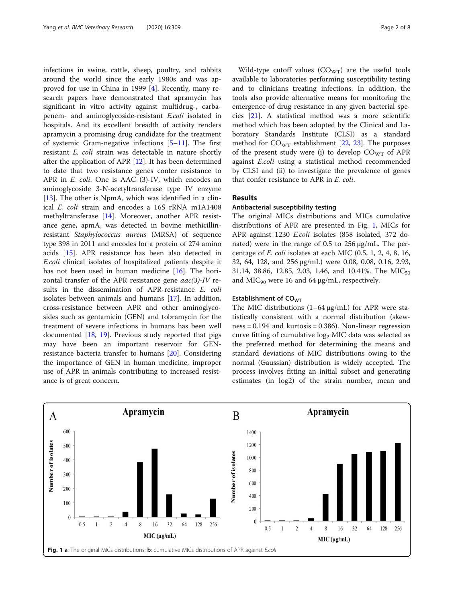infections in swine, cattle, sheep, poultry, and rabbits around the world since the early 1980s and was approved for use in China in 1999 [\[4](#page-6-0)]. Recently, many research papers have demonstrated that apramycin has significant in vitro activity against multidrug-, carbapenem- and aminoglycoside-resistant E.coli isolated in hospitals. And its excellent breadth of activity renders apramycin a promising drug candidate for the treatment of systemic Gram-negative infections  $[5-11]$  $[5-11]$  $[5-11]$  $[5-11]$ . The first resistant E. coli strain was detectable in nature shortly after the application of APR [[12](#page-6-0)]. It has been determined to date that two resistance genes confer resistance to APR in E. coli. One is AAC (3)-IV, which encodes an aminoglycoside 3-N-acetyltransferase type IV enzyme [[13\]](#page-6-0). The other is NpmA, which was identified in a clinical E. coli strain and encodes a 16S rRNA m1A1408 methyltransferase [\[14\]](#page-7-0). Moreover, another APR resistance gene, apmA, was detected in bovine methicillinresistant Staphylococcus aureus (MRSA) of sequence type 398 in 2011 and encodes for a protein of 274 amino acids [[15\]](#page-7-0). APR resistance has been also detected in E.coli clinical isolates of hospitalized patients despite it has not been used in human medicine [[16\]](#page-7-0). The horizontal transfer of the APR resistance gene  $aac(3)-IV$  results in the dissemination of APR-resistance E. coli isolates between animals and humans [[17](#page-7-0)]. In addition, cross-resistance between APR and other aminoglycosides such as gentamicin (GEN) and tobramycin for the treatment of severe infections in humans has been well documented [[18,](#page-7-0) [19\]](#page-7-0). Previous study reported that pigs may have been an important reservoir for GENresistance bacteria transfer to humans [\[20](#page-7-0)]. Considering the importance of GEN in human medicine, improper use of APR in animals contributing to increased resistance is of great concern.

Wild-type cutoff values  $(CO<sub>WT</sub>)$  are the useful tools available to laboratories performing susceptibility testing and to clinicians treating infections. In addition, the tools also provide alternative means for monitoring the emergence of drug resistance in any given bacterial species [[21\]](#page-7-0). A statistical method was a more scientific method which has been adopted by the Clinical and Laboratory Standards Institute (CLSI) as a standard method for  $CO<sub>WT</sub>$  establishment [\[22,](#page-7-0) [23](#page-7-0)]. The purposes of the present study were (i) to develop  $CO<sub>WT</sub>$  of APR against E.coli using a statistical method recommended by CLSI and (ii) to investigate the prevalence of genes that confer resistance to APR in E. coli.

# Results

# Antibacterial susceptibility testing

The original MICs distributions and MICs cumulative distributions of APR are presented in Fig. 1, MICs for APR against 1230 E.coli isolates (858 isolated, 372 donated) were in the range of 0.5 to 256 μg/mL. The percentage of E. coli isolates at each MIC (0.5, 1, 2, 4, 8, 16, 32, 64, 128, and 256 μg/mL) were 0.08, 0.08, 0.16, 2.93, 31.14, 38.86, 12.85, 2.03, 1.46, and 10.41%. The MIC<sub>50</sub> and  $MIC<sub>90</sub>$  were 16 and 64  $\mu$ g/mL, respectively.

## Establishment of CO<sub>WT</sub>

The MIC distributions (1–64 μg/mL) for APR were statistically consistent with a normal distribution (skewness = 0.194 and kurtosis = 0.386). Non-linear regression curve fitting of cumulative  $log<sub>2</sub>$  MIC data was selected as the preferred method for determining the means and standard deviations of MIC distributions owing to the normal (Gaussian) distribution is widely accepted. The process involves fitting an initial subset and generating estimates (in log2) of the strain number, mean and

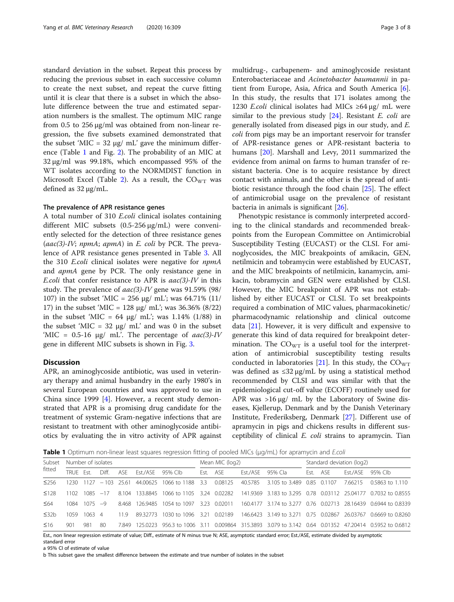standard deviation in the subset. Repeat this process by reducing the previous subset in each successive column to create the next subset, and repeat the curve fitting until it is clear that there is a subset in which the absolute difference between the true and estimated separation numbers is the smallest. The optimum MIC range from 0.5 to 256 μg/ml was obtained from non-linear regression, the five subsets examined demonstrated that the subset 'MIC = 32 μg/ mL' gave the minimum difference (Table 1 and Fig. [2\)](#page-3-0). The probability of an MIC at 32 μg/ml was 99.18%, which encompassed 95% of the WT isolates according to the NORMDIST function in Microsoft Excel (Table [2\)](#page-3-0). As a result, the  $CO<sub>WT</sub>$  was defined as 32 μg/mL.

## The prevalence of APR resistance genes

A total number of 310 E.coli clinical isolates containing different MIC subsets (0.5-256 μg/mL) were conveniently selected for the detection of three resistance genes  $(aac(3)-IV; npmA; apmA)$  in E. coli by PCR. The prevalence of APR resistance genes presented in Table [3.](#page-4-0) All the 310 E.coli clinical isolates were negative for npmA and apmA gene by PCR. The only resistance gene in *E.coli* that confer resistance to APR is  $aac(3)-IV$  in this study. The prevalence of  $aac(3)$ -IV gene was 91.59% (98/ 107) in the subset 'MIC = 256 μg/ mL'; was 64.71% (11/ 17) in the subset 'MIC = 128 μg/ mL'; was 36.36% (8/22) in the subset 'MIC =  $64 \mu g$  mL'; was 1.14% (1/88) in the subset 'MIC = 32 μg/ mL' and was 0 in the subset 'MIC =  $0.5$ -16 μg/ mL'. The percentage of  $aac(3)$ -IV gene in different MIC subsets is shown in Fig. [3](#page-4-0).

# Discussion

APR, an aminoglycoside antibiotic, was used in veterinary therapy and animal husbandry in the early 1980's in several European countries and was approved to use in China since 1999 [\[4\]](#page-6-0). However, a recent study demonstrated that APR is a promising drug candidate for the treatment of systemic Gram-negative infections that are resistant to treatment with other aminoglycoside antibiotics by evaluating the in vitro activity of APR against multidrug-, carbapenem- and aminoglycoside resistant Enterobacteriaceae and Acinetobacter baumannii in patient from Europe, Asia, Africa and South America [\[6](#page-6-0)]. In this study, the results that 171 isolates among the 1230 E.coli clinical isolates had MICs ≥64 μg/ mL were similar to the previous study  $[24]$ . Resistant *E. coli* are generally isolated from diseased pigs in our study, and E. coli from pigs may be an important reservoir for transfer of APR-resistance genes or APR-resistant bacteria to humans [\[20](#page-7-0)]. Marshall and Levy, 2011 summarized the evidence from animal on farms to human transfer of resistant bacteria. One is to acquire resistance by direct contact with animals, and the other is the spread of antibiotic resistance through the food chain [[25\]](#page-7-0). The effect of antimicrobial usage on the prevalence of resistant bacteria in animals is significant [\[26\]](#page-7-0).

Phenotypic resistance is commonly interpreted according to the clinical standards and recommended breakpoints from the European Committee on Antimicrobial Susceptibility Testing (EUCAST) or the CLSI. For aminoglycosides, the MIC breakpoints of amikacin, GEN, netilmicin and tobramycin were established by EUCAST, and the MIC breakpoints of netilmicin, kanamycin, amikacin, tobramycin and GEN were established by CLSI. However, the MIC breakpoint of APR was not established by either EUCAST or CLSI. To set breakpoints required a combination of MIC values, pharmacokinetic/ pharmacodynamic relationship and clinical outcome data  $[21]$ . However, it is very difficult and expensive to generate this kind of data required for breakpoint determination. The  $CO_{WT}$  is a useful tool for the interpretation of antimicrobial susceptibility testing results conducted in laboratories [[21](#page-7-0)]. In this study, the  $CO<sub>WT</sub>$ was defined as  $\leq 32 \mu g/mL$  by using a statistical method recommended by CLSI and was similar with that the epidemiological cut-off value (ECOFF) routinely used for APR was >16 μg/ mL by the Laboratory of Swine diseases, Kjellerup, Denmark and by the Danish Veterinary Institute, Frederiksberg, Denmark [[27\]](#page-7-0). Different use of apramycin in pigs and chickens results in different susceptibility of clinical E. coli strains to apramycin. Tian

Table 1 Optimum non-linear least squares regression fitting of pooled MICs (μg/mL) for apramycin and *E.coli* 

| Subset<br>fitted | Number of isolates |             |              |       |                      | Mean MIC (log2)                    |      |          | Standard deviation (log2) |                            |          |  |          |                                                                         |
|------------------|--------------------|-------------|--------------|-------|----------------------|------------------------------------|------|----------|---------------------------|----------------------------|----------|--|----------|-------------------------------------------------------------------------|
|                  | TRUF Fst           |             | Diff.        |       | ASE Est./ASE 95% CIb |                                    |      | Fst. ASE |                           | Est./ASE 95% Cla           | Est. ASE |  | Fst./ASF | 95% Clb                                                                 |
| $\leq$ 256       | 1230               | 1127        | $-103$ 25.61 |       |                      | 44,00625 1066 to 1188              | 3.3  | 0.08125  | 40.5785                   | 3.105 to 3.489 0.85 0.1107 |          |  | 766215   | $0.5863$ to $1.110$                                                     |
| $\leq 128$       | 1102               | $1085 - 17$ |              | 8.104 |                      | 133.8845 1066 to 1105 3.24 0.02282 |      |          |                           |                            |          |  |          | 141.9369 3.183 to 3.295 0.78 0.03112 25.04177 0.7032 to 0.8555          |
| $64$             | 1084               | $1075 -9$   |              |       |                      | 8.468 126.9485 1054 to 1097        | 3.23 | 0.02011  |                           |                            |          |  |          | 160.4177 3.174 to 3.277 0.76 0.02713 28.16439 0.6944 to 0.8339          |
| $\leq$ 32b       | 1059               | $1063$ 4    |              | 119   |                      | 89 32773 1030 to 1096              | 321  | 0.02189  |                           |                            |          |  |          | 146.6423 3.149 to 3.271 0.75 0.02867 26.03767 0.6669 to 0.8260          |
| $\leq 16$        | 901                | 981         | 80           | 7849  |                      | 125,0223 956.3 to 1006 3.11        |      |          |                           |                            |          |  |          | 0.009864 315.3893 3.079 to 3.142 0.64 0.01352 47.20414 0.5952 to 0.6812 |

Est., non linear regression estimate of value; Diff., estimate of N minus true N; ASE, asymptotic standard error; Est./ASE, estimate divided by asymptotic standard error

a 95% CI of estimate of value

b This subset gave the smallest difference between the estimate and true number of isolates in the subset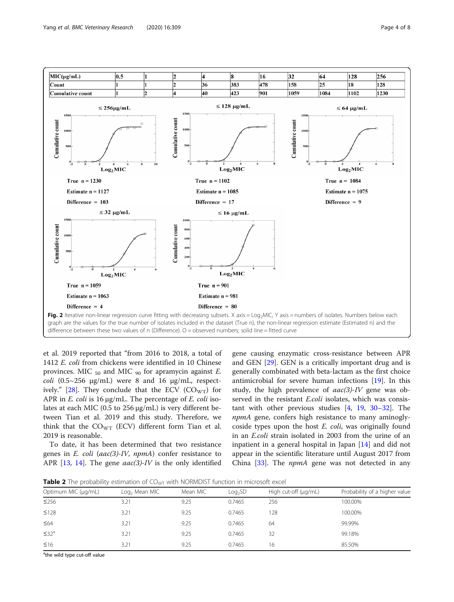<span id="page-3-0"></span>

et al. 2019 reported that "from 2016 to 2018, a total of 1412 E. coli from chickens were identified in 10 Chinese provinces. MIC  $_{50}$  and MIC  $_{90}$  for apramycin against *E*. coli  $(0.5~256~\mu g/mL)$  were 8 and 16  $\mu g/mL$ , respect-ively." [\[28\]](#page-7-0). They conclude that the ECV ( $CO<sub>WT</sub>$ ) for APR in *E. coli* is 16  $\mu$ g/mL. The percentage of *E. coli* isolates at each MIC (0.5 to 256 μg/mL) is very different between Tian et al. 2019 and this study. Therefore, we think that the  $CO_{WT}$  (ECV) different form Tian et al. 2019 is reasonable.

To date, it has been determined that two resistance genes in  $E$ . coli (aac(3)-IV, npmA) confer resistance to APR  $[13, 14]$  $[13, 14]$  $[13, 14]$  $[13, 14]$ . The gene aac(3)-IV is the only identified

gene causing enzymatic cross-resistance between APR and GEN [[29\]](#page-7-0). GEN is a critically important drug and is generally combinated with beta-lactam as the first choice antimicrobial for severe human infections [[19](#page-7-0)]. In this study, the high prevalence of  $aac(3)-IV$  gene was observed in the resistant E.coli isolates, which was consistant with other previous studies  $[4, 19, 30-32]$  $[4, 19, 30-32]$  $[4, 19, 30-32]$  $[4, 19, 30-32]$  $[4, 19, 30-32]$  $[4, 19, 30-32]$  $[4, 19, 30-32]$  $[4, 19, 30-32]$ . The npmA gene, confers high resistance to many aminoglycoside types upon the host E. coli, was originally found in an E.coli strain isolated in 2003 from the urine of an inpatient in a general hospital in Japan [\[14](#page-7-0)] and did not appear in the scientific literature until August 2017 from China [\[33](#page-7-0)]. The *npmA* gene was not detected in any

Table 2 The probability estimation of CO<sub>WT</sub> with NORMDIST function in microsoft excel

| Optimum MIC (µg/mL)    | Log <sub>2</sub> Mean MIC | Mean MIC | Log <sub>2</sub> SD | High cut-off (µg/mL) | Probability of a higher value |
|------------------------|---------------------------|----------|---------------------|----------------------|-------------------------------|
| $\leq$ 256             | 3.21                      | 9.25     | 0.7465              | 256                  | 100.00%                       |
| $\leq 128$             | 3.21                      | 9.25     | 0.7465              | 28                   | 100.00%                       |
| $\leq 64$              | 3.21                      | 9.25     | 0.7465              | 64                   | 99.99%                        |
| $\leq$ 32 <sup>a</sup> | 3.21                      | 9.25     | 0.7465              | 32                   | 99.18%                        |
| $\leq 16$              | 3.21                      | 9.25     | 0.7465              | 16                   | 85.50%                        |
|                        |                           |          |                     |                      |                               |

<sup>a</sup>the wild type cut-off value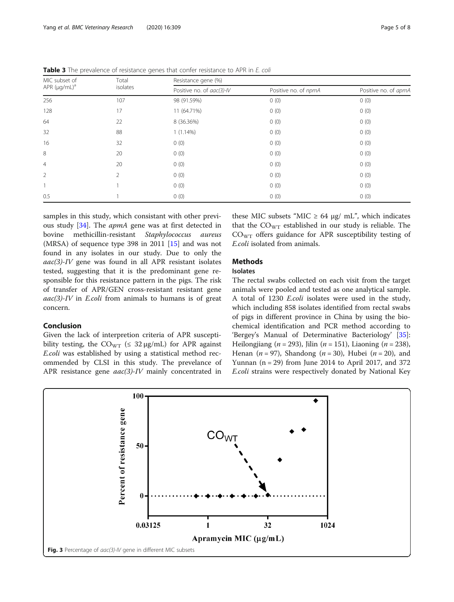| MIC subset of      | Total    | Resistance gene (%)       |                      |                      |  |  |
|--------------------|----------|---------------------------|----------------------|----------------------|--|--|
| APR $(\mu q/mL)^a$ | isolates | Positive no. of aac(3)-IV | Positive no. of npmA | Positive no. of apmA |  |  |
| 256                | 107      | 98 (91.59%)               | 0(0)                 | 0(0)                 |  |  |
| 128                | 17       | 11 (64.71%)               | 0(0)                 | 0(0)                 |  |  |
| 64                 | 22       | 8 (36.36%)                | 0(0)                 | 0(0)                 |  |  |
| 32                 | 88       | $1(1.14\%)$               | 0(0)                 | 0(0)                 |  |  |
| 16                 | 32       | 0(0)                      | 0(0)                 | 0(0)                 |  |  |
| 8                  | 20       | 0(0)                      | 0(0)                 | 0(0)                 |  |  |
| $\overline{4}$     | 20       | 0(0)                      | 0(0)                 | 0(0)                 |  |  |
| $\overline{2}$     | 2        | 0(0)                      | 0(0)                 | 0(0)                 |  |  |
|                    |          | 0(0)                      | 0(0)                 | 0(0)                 |  |  |
| 0.5                |          | 0(0)                      | 0(0)                 | 0(0)                 |  |  |

<span id="page-4-0"></span>Table 3 The prevalence of resistance genes that confer resistance to APR in E. coli

samples in this study, which consistant with other previous study [[34](#page-7-0)]. The apmA gene was at first detected in bovine methicillin-resistant Staphylococcus aureus (MRSA) of sequence type 398 in 2011 [\[15\]](#page-7-0) and was not found in any isolates in our study. Due to only the  $aac(3)-IV$  gene was found in all APR resistant isolates tested, suggesting that it is the predominant gene responsible for this resistance pattern in the pigs. The risk of transfer of APR/GEN cross-resistant resistant gene  $aac(3)-IV$  in *E.coli* from animals to humans is of great concern.

# Conclusion

Given the lack of interpretion criteria of APR susceptibility testing, the  $CO_{WT}$  ( $\leq 32 \mu g/mL$ ) for APR against E.coli was established by using a statistical method recommended by CLSI in this study. The prevelance of APR resistance gene *aac(3)-IV* mainly concentrated in

these MIC subsets "MIC  $\geq$  64 μg/ mL", which indicates that the  $CO<sub>WT</sub>$  established in our study is reliable. The  $CO<sub>WT</sub>$  offers guidance for APR susceptibility testing of E.coli isolated from animals.

# Methods

# Isolates

The rectal swabs collected on each visit from the target animals were pooled and tested as one analytical sample. A total of 1230 E.coli isolates were used in the study, which including 858 isolates identified from rectal swabs of pigs in different province in China by using the biochemical identification and PCR method according to 'Bergey's Manual of Determinative Bacteriology' [\[35](#page-7-0)]: Heilongjiang ( $n = 293$ ), Jilin ( $n = 151$ ), Liaoning ( $n = 238$ ), Henan ( $n = 97$ ), Shandong ( $n = 30$ ), Hubei ( $n = 20$ ), and Yunnan  $(n = 29)$  from June 2014 to April 2017, and 372 E.coli strains were respectively donated by National Key

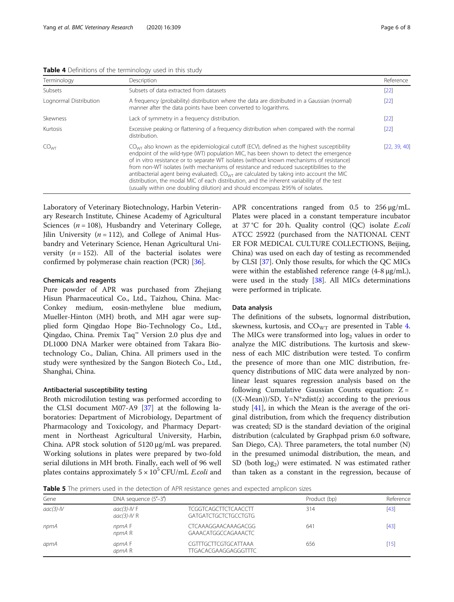| Terminology            | Description                                                                                                                                                                                                                                                                                                                                                                                                                                                                                                                                                                                                                                                       | Reference    |
|------------------------|-------------------------------------------------------------------------------------------------------------------------------------------------------------------------------------------------------------------------------------------------------------------------------------------------------------------------------------------------------------------------------------------------------------------------------------------------------------------------------------------------------------------------------------------------------------------------------------------------------------------------------------------------------------------|--------------|
| Subsets                | Subsets of data extracted from datasets                                                                                                                                                                                                                                                                                                                                                                                                                                                                                                                                                                                                                           | $[22]$       |
| Lognormal Distribution | A frequency (probability) distribution where the data are distributed in a Gaussian (normal)<br>manner after the data points have been converted to logarithms.                                                                                                                                                                                                                                                                                                                                                                                                                                                                                                   | $[22]$       |
| Skewness               | Lack of symmetry in a frequency distribution.                                                                                                                                                                                                                                                                                                                                                                                                                                                                                                                                                                                                                     | $[22]$       |
| Kurtosis               | Excessive peaking or flattening of a frequency distribution when compared with the normal<br>distribution.                                                                                                                                                                                                                                                                                                                                                                                                                                                                                                                                                        | $[22]$       |
| CO <sub>WT</sub>       | $COMT$ also known as the epidemiological cutoff (ECV), defined as the highest susceptibility<br>endpoint of the wild-type (WT) population MIC, has been shown to detect the emergence<br>of in vitro resistance or to separate WT isolates (without known mechanisms of resistance)<br>from non-WT isolates (with mechanisms of resistance and reduced susceptibilities to the<br>antibacterial agent being evaluated). $COWT$ are calculated by taking into account the MIC<br>distribution, the modal MIC of each distribution, and the inherent variability of the test<br>(usually within one doubling dilution) and should encompass $\geq$ 95% of isolates. | [22, 39, 40] |

<span id="page-5-0"></span>Table 4 Definitions of the terminology used in this study

Laboratory of Veterinary Biotechnology, Harbin Veterinary Research Institute, Chinese Academy of Agricultural Sciences ( $n = 108$ ), Husbandry and Veterinary College, Jilin University ( $n = 112$ ), and College of Animal Husbandry and Veterinary Science, Henan Agricultural University  $(n = 152)$ . All of the bacterial isolates were confirmed by polymerase chain reaction (PCR) [[36\]](#page-7-0).

## Chemicals and reagents

Pure powder of APR was purchased from Zhejiang Hisun Pharmaceutical Co., Ltd., Taizhou, China. Mac-Conkey medium, eosin-methylene blue medium, Mueller-Hinton (MH) broth, and MH agar were supplied form Qingdao Hope Bio-Technology Co., Ltd., Qingdao, China. Premix Taq™ Version 2.0 plus dye and DL1000 DNA Marker were obtained from Takara Biotechnology Co., Dalian, China. All primers used in the study were synthesized by the Sangon Biotech Co., Ltd., Shanghai, China.

# Antibacterial susceptibility testing

Broth microdilution testing was performed according to the CLSI document M07-A9 [[37\]](#page-7-0) at the following laboratories: Department of Microbiology, Department of Pharmacology and Toxicology, and Pharmacy Department in Northeast Agricultural University, Harbin, China. APR stock solution of 5120 μg/mL was prepared. Working solutions in plates were prepared by two-fold serial dilutions in MH broth. Finally, each well of 96 well plates contains approximately  $5 \times 10^5$  CFU/mL *E.coli* and

APR concentrations ranged from 0.5 to 256 μg/mL. Plates were placed in a constant temperature incubator at 37 °C for 20 h. Quality control (QC) isolate E.coli ATCC 25922 (purchased from the NATIONAL CENT ER FOR MEDICAL CULTURE COLLECTIONS, Beijing, China) was used on each day of testing as recommended by CLSI [[37](#page-7-0)]. Only those results, for which the QC MICs were within the established reference range (4-8 μg/mL), were used in the study [[38\]](#page-7-0). All MICs determinations were performed in triplicate.

## Data analysis

The definitions of the subsets, lognormal distribution, skewness, kurtosis, and  $CO_{WT}$  are presented in Table 4. The MICs were transformed into  $log<sub>2</sub>$  values in order to analyze the MIC distributions. The kurtosis and skewness of each MIC distribution were tested. To confirm the presence of more than one MIC distribution, frequency distributions of MIC data were analyzed by nonlinear least squares regression analysis based on the following Cumulative Gaussian Counts equation:  $Z =$  $((X-Mean))/SD, Y=N^*zdist(z)$  according to the previous study [\[41](#page-7-0)], in which the Mean is the average of the original distribution, from which the frequency distribution was created; SD is the standard deviation of the original distribution (calculated by Graphpad prism 6.0 software, San Diego, CA). Three parameters, the total number (N) in the presumed unimodal distribution, the mean, and SD (both  $log_2$ ) were estimated. N was estimated rather than taken as a constant in the regression, because of

Table 5 The primers used in the detection of APR resistance genes and expected amplicon sizes

| <b>TWARE E</b> THE PHILLED WOOD IN THE WELCOMED, BY A HILLEDGEMENT SHOW WHO CAPECLED MINDICOLL DIECD |                                                |                                                            |              |                   |  |  |  |  |
|------------------------------------------------------------------------------------------------------|------------------------------------------------|------------------------------------------------------------|--------------|-------------------|--|--|--|--|
| Gene                                                                                                 | DNA sequence $(5'-3')$                         |                                                            | Product (bp) | Reference<br>[43] |  |  |  |  |
| $aac(3)-IV$                                                                                          | $\mathit{aac}(3)$ -IV F<br>$\alpha$ ac(3)-IV R | <b>TCGGTCAGCTTCTCAACCTT</b><br><b>GATGATCTGCTCTGCCTGTG</b> | 314          |                   |  |  |  |  |
| npmA                                                                                                 | npmA F<br>npmAR                                | <b>CTCAAAGGAACAAAGACGG</b><br>GAAACATGGCCAGAAACTC          | 641          | [43]              |  |  |  |  |
| apmA                                                                                                 | apmA F<br>apmA R                               | CGTTTGCTTCGTGCATTAAA<br><b>TTGACACGAAGGAGGGTTTC</b>        | 656          | [15]              |  |  |  |  |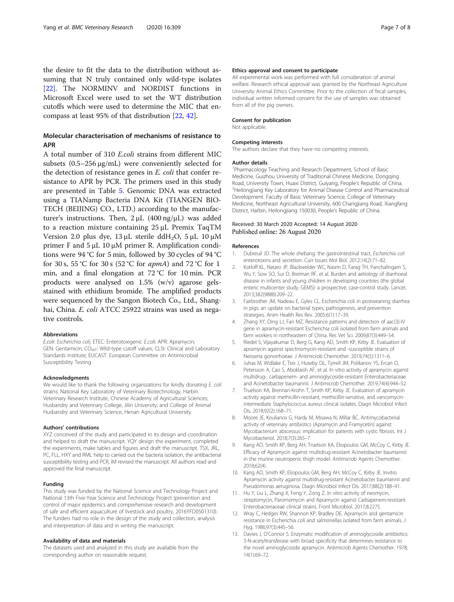<span id="page-6-0"></span>the desire to fit the data to the distribution without assuming that N truly contained only wild-type isolates [[22\]](#page-7-0). The NORMINV and NORDIST functions in Microsoft Excel were used to set the WT distribution cutoffs which were used to determine the MIC that encompass at least 95% of that distribution [[22](#page-7-0), [42](#page-7-0)].

# Molecular characterisation of mechanisms of resistance to APR

A total number of 310 E.coli strains from different MIC subsets (0.5–256 μg/mL) were conveniently selected for the detection of resistance genes in E. coli that confer resistance to APR by PCR. The primers used in this study are presented in Table [5.](#page-5-0) Genomic DNA was extracted using a TIANamp Bacteria DNA Kit (TIANGEN BIO-TECH (BEIJING) CO., LTD.) according to the manufacturer's instructions. Then,  $2μL (400 ng/μL)$  was added to a reaction mixture containing 25 μL Premix TaqTM Version 2.0 plus dye,  $13 \mu$ L sterile ddH<sub>2</sub>O,  $5 \mu$ L 10  $\mu$ M primer F and  $5 \mu L$  10 μM primer R. Amplification conditions were 94 °C for 5 min, followed by 30 cycles of 94 °C for 30 s, 55 °C for 30 s (52 °C for *apmA*) and 72 °C for 1 min, and a final elongation at 72 °C for 10 min. PCR products were analysed on 1.5% (w/v) agarose gelsstained with ethidium bromide. The amplified products were sequenced by the Sangon Biotech Co., Ltd., Shanghai, China. E. coli ATCC 25922 strains was used as negative controls.

#### Abbreviations

E.coli: Escherichia coli; ETEC: Enterotoxigenic E.coli; APR: Apramycin; GEN: Gentamicin; CO<sub>WT</sub>: Wild-type cutoff values; CLSI: Clinical and Laboratory Standards Institute; EUCAST: European Committee on Antimicrobial Susceptibility Testing

## Acknowledgments

We would like to thank the following organizations for kindly donating E. coli strains: National Key Laboratory of Veterinary Biotechnology, Harbin Veterinary Research Institute, Chinese Academy of Agricultural Sciences; Husbandry and Veterinary College, Jilin University; and College of Animal Husbandry and Veterinary Science, Henan Agricultural University.

#### Authors' contributions

XYZ conceived of the study and participated in its design and coordination and helped to draft the manuscript. YQY design the experiment, completed the experiments, make tables and figures and draft the manuscript. TSX, JRL, PC, FLL, HXY and RML help to carried out the bacteria isolation, the antibacterial susceptibility testing and PCR, IM revised the manuscript. All authors read and approved the final manuscript.

#### Funding

This study was funded by the National Science and Technology Project and National 13th Five-Year Science and Technology Project (prevention and control of major epidemics and comprehensive research and development of safe and efficient aquaculture of livestock and poultry, 2016YFD0501310). The funders had no role in the design of the study and collection, analysis and interpretation of data and in writing the manuscript.

#### Availability of data and materials

The datasets used and analyzed in this study are available from the corresponding author on reasonable request.

#### Ethics approval and consent to participate

All experimental work was performed with full consideration of animal welfare. Research ethical approval was granted by the Northeast Agriculture University Animal Ethics Committee. Prior to the collection of fecal samples, individual written informed consent for the use of samples was obtained from all of the pig owners.

#### Consent for publication

Not applicable.

#### Competing interests

The authors declare that they have no competing interests.

#### Author details

<sup>1</sup> Pharmacology Teaching and Research Department, School of Basic Medicine, Guizhou University of Traditional Chinese Medicine, Dongqing Road, University Town, Huaxi District, Guiyang, People's Republic of China. <sup>2</sup> <sup>2</sup>Heilongjiang Key Laboratory for Animal Disease Control and Pharmaceutical Development. Faculty of Basic Veterinary Science, College of Veterinary Medicine, Northeast Agricultural University, 600 Changjiang Road, Xiangfang District, Harbin, Heilongjiang 150030, People's Republic of China.

## Received: 30 March 2020 Accepted: 14 August 2020 Published online: 26 August 2020

#### References

- 1. Dubreuil JD. The whole shebang: the gastrointestinal tract, Escherichia coli enterotoxins and secretion. Curr Issues Mol Biol. 2012;14(2):71–82.
- 2. Kotloff KL, Nataro JP, Blackwelder WC, Nasrin D, Farag TH, Panchalingam S, Wu Y, Sow SO, Sur D, Breiman RF, et al. Burden and aetiology of diarrhoeal disease in infants and young children in developing countries (the global enteric multicenter study, GEMS): a prospective, case-control study. Lancet. 2013;382(9888):209–22.
- 3. Fairbrother JM, Nadeau E, Gyles CL. Escherichia coli in postweaning diarrhea in pigs: an update on bacterial types, pathogenesis, and prevention strategies. Anim Health Res Rev. 2005;6(1):17–39.
- 4. Zhang XY, Ding LJ, Fan MZ. Resistance patterns and detection of aac(3)-IV gene in apramycin-resistant Escherichia coli isolated from farm animals and farm workers in northeastern of China. Res Vet Sci. 2009;87(3):449–54.
- 5. Riedel S, Vijayakumar D, Berg G, Kang AD, Smith KP, Kirby JE. Evaluation of apramycin against spectinomycin-resistant and -susceptible strains of Neisseria gonorrhoeae. J Antimicrob Chemother. 2019;74(5):1311–6.
- 6. Juhas M, Widlake E, Teo J, Huseby DL, Tyrrell JM, Polikanov YS, Ercan O, Petersson A, Cao S, Aboklaish AF, et al. In vitro activity of apramycin against multidrug-, carbapenem- and aminoglycoside-resistant Enterobacteriaceae and Acinetobacter baumannii. J Antimicrob Chemother. 2019;74(4):944–52.
- 7. Truelson KA, Brennan-Krohn T, Smith KP, Kirby JE. Evaluation of apramycin activity against methicillin-resistant, methicillin-sensitive, and vancomycinintermediate Staphylococcus aureus clinical isolates. Diagn Microbiol Infect Dis. 2018;92(2):168–71.
- 8. Moore JE, Koulianos G, Hardy M, Misawa N, Millar BC. Antimycobacterial activity of veterinary antibiotics (Apramycin and Framycetin) against Mycobacterium abscessus: implication for patients with cystic fibrosis. Int J Mycobacteriol. 2018;7(3):265–7.
- Kang AD, Smith KP, Berg AH, Truelson KA, Eliopoulos GM, McCoy C, Kirby JE. Efficacy of Apramycin against multidrug-resistant Acinetobacter baumannii in the murine neutropenic thigh model. Antimicrob Agents Chemother. 2018;62(4).
- 10. Kang AD, Smith KP, Eliopoulos GM, Berg AH, McCoy C, Kirby JE. Invitro Apramycin activity against multidrug-resistant Acinetobacter baumannii and Pseudomonas aeruginosa. Diagn Microbiol Infect Dis. 2017;88(2):188–91.
- 11. Hu Y, Liu L, Zhang X, Feng Y, Zong Z. In vitro activity of neomycin, streptomycin, Paromomycin and Apramycin against Carbapenem-resistant Enterobacteriaceae clinical strains. Front Microbiol. 2017;8:2275.
- 12. Wray C, Hedges RW, Shannon KP, Bradley DE. Apramycin and gentamicin resistance in Escherichia coli and salmonellas isolated from farm animals. J Hyg. 1986;97(3):445–56.
- 13. Davies J, O'Connor S. Enzymatic modification of aminoglycoside antibiotics: 3-N-acetyltransferase with broad specificity that determines resistance to the novel aminoglycoside apramycin. Antimicrob Agents Chemother. 1978; 14(1):69–72.